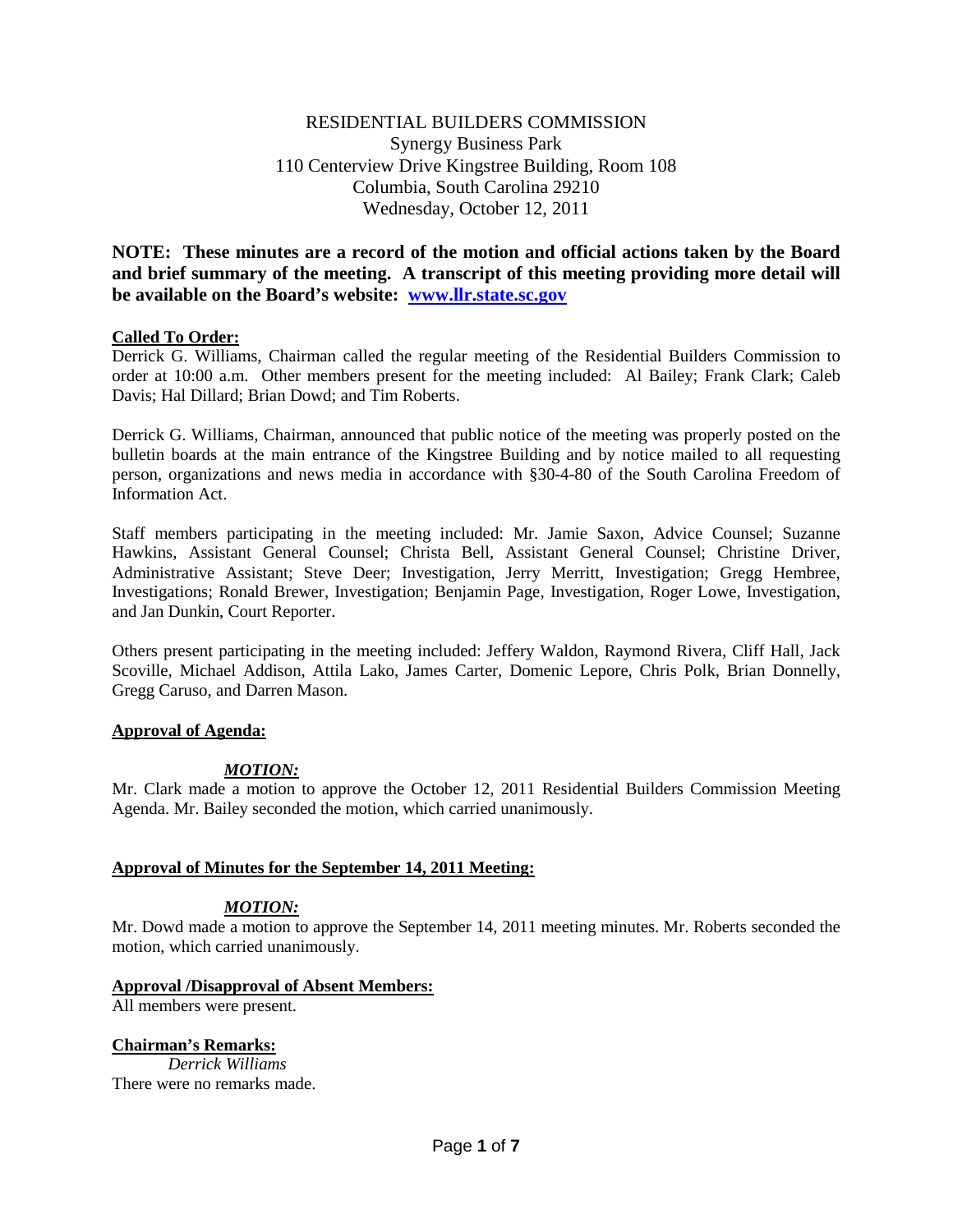# RESIDENTIAL BUILDERS COMMISSION Synergy Business Park 110 Centerview Drive Kingstree Building, Room 108 Columbia, South Carolina 29210 Wednesday, October 12, 2011

**NOTE: These minutes are a record of the motion and official actions taken by the Board and brief summary of the meeting. A transcript of this meeting providing more detail will be available on the Board's website: [www.llr.state.sc.gov](http://www.llr.state.sc.gov/)**

### **Called To Order:**

Derrick G. Williams, Chairman called the regular meeting of the Residential Builders Commission to order at 10:00 a.m. Other members present for the meeting included: Al Bailey; Frank Clark; Caleb Davis; Hal Dillard; Brian Dowd; and Tim Roberts.

Derrick G. Williams, Chairman, announced that public notice of the meeting was properly posted on the bulletin boards at the main entrance of the Kingstree Building and by notice mailed to all requesting person, organizations and news media in accordance with §30-4-80 of the South Carolina Freedom of Information Act.

Staff members participating in the meeting included: Mr. Jamie Saxon, Advice Counsel; Suzanne Hawkins, Assistant General Counsel; Christa Bell, Assistant General Counsel; Christine Driver, Administrative Assistant; Steve Deer; Investigation, Jerry Merritt, Investigation; Gregg Hembree, Investigations; Ronald Brewer, Investigation; Benjamin Page, Investigation, Roger Lowe, Investigation, and Jan Dunkin, Court Reporter.

Others present participating in the meeting included: Jeffery Waldon, Raymond Rivera, Cliff Hall, Jack Scoville, Michael Addison, Attila Lako, James Carter, Domenic Lepore, Chris Polk, Brian Donnelly, Gregg Caruso, and Darren Mason.

#### **Approval of Agenda:**

## *MOTION:*

Mr. Clark made a motion to approve the October 12, 2011 Residential Builders Commission Meeting Agenda. Mr. Bailey seconded the motion, which carried unanimously.

## **Approval of Minutes for the September 14, 2011 Meeting:**

#### *MOTION:*

Mr. Dowd made a motion to approve the September 14, 2011 meeting minutes. Mr. Roberts seconded the motion, which carried unanimously.

#### **Approval /Disapproval of Absent Members:**

All members were present.

#### **Chairman's Remarks:**

*Derrick Williams* There were no remarks made.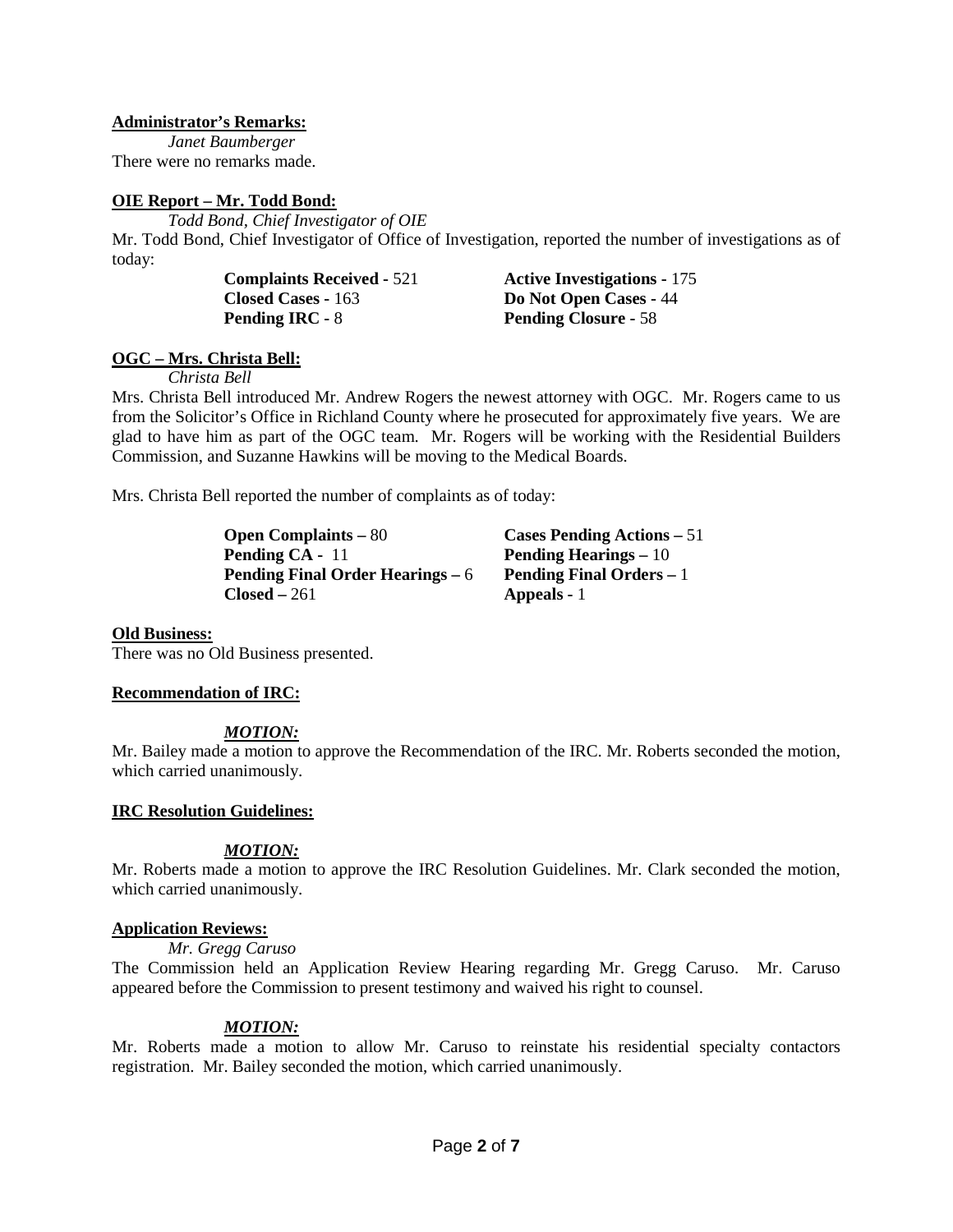### **Administrator's Remarks:**

*Janet Baumberger* There were no remarks made.

## **OIE Report – Mr. Todd Bond:**

*Todd Bond, Chief Investigator of OIE* Mr. Todd Bond, Chief Investigator of Office of Investigation, reported the number of investigations as of today:

> **Closed Cases -** 163 **Do Not Open Cases -** 44 **Pending IRC -** 8 **Pending Closure -** 58

**Complaints Received -** 521 **Active Investigations -** 175

## **OGC – Mrs. Christa Bell:**

*Christa Bell*

Mrs. Christa Bell introduced Mr. Andrew Rogers the newest attorney with OGC. Mr. Rogers came to us from the Solicitor's Office in Richland County where he prosecuted for approximately five years. We are glad to have him as part of the OGC team. Mr. Rogers will be working with the Residential Builders Commission, and Suzanne Hawkins will be moving to the Medical Boards.

Mrs. Christa Bell reported the number of complaints as of today:

| <b>Open Complaints – 80</b>             | Cases Pending Actions – 51      |
|-----------------------------------------|---------------------------------|
| <b>Pending CA - 11</b>                  | Pending Hearings $-10$          |
| <b>Pending Final Order Hearings – 6</b> | <b>Pending Final Orders – 1</b> |
| <b>Closed –</b> 261                     | <b>Appeals</b> - 1              |

#### **Old Business:**

There was no Old Business presented.

## **Recommendation of IRC:**

## *MOTION:*

Mr. Bailey made a motion to approve the Recommendation of the IRC. Mr. Roberts seconded the motion, which carried unanimously.

#### **IRC Resolution Guidelines:**

## *MOTION:*

Mr. Roberts made a motion to approve the IRC Resolution Guidelines. Mr. Clark seconded the motion, which carried unanimously.

#### **Application Reviews:**

*Mr. Gregg Caruso*

The Commission held an Application Review Hearing regarding Mr. Gregg Caruso. Mr. Caruso appeared before the Commission to present testimony and waived his right to counsel.

## *MOTION:*

Mr. Roberts made a motion to allow Mr. Caruso to reinstate his residential specialty contactors registration. Mr. Bailey seconded the motion, which carried unanimously.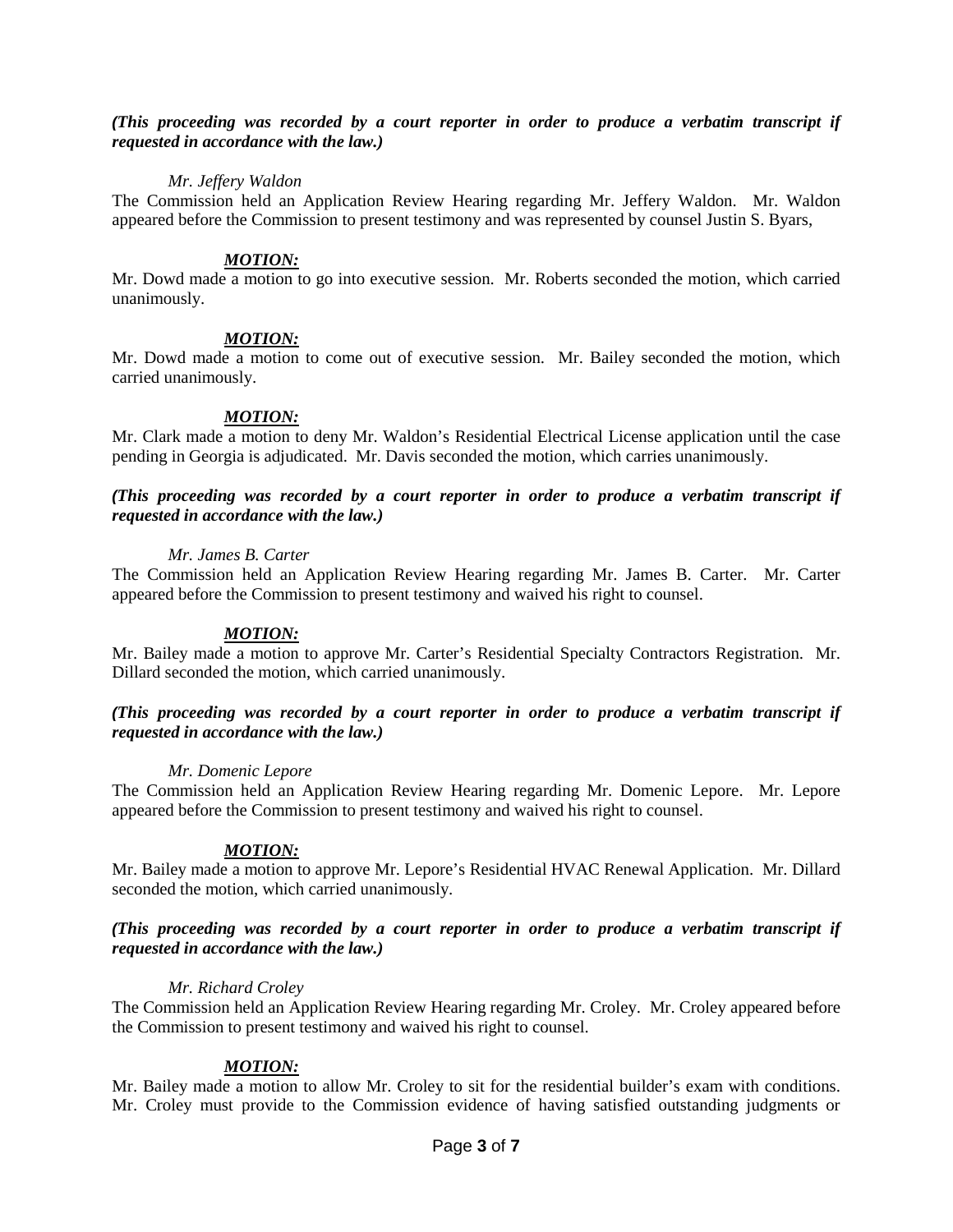#### *(This proceeding was recorded by a court reporter in order to produce a verbatim transcript if requested in accordance with the law.)*

#### *Mr. Jeffery Waldon*

The Commission held an Application Review Hearing regarding Mr. Jeffery Waldon. Mr. Waldon appeared before the Commission to present testimony and was represented by counsel Justin S. Byars,

#### *MOTION:*

Mr. Dowd made a motion to go into executive session. Mr. Roberts seconded the motion, which carried unanimously.

#### *MOTION:*

Mr. Dowd made a motion to come out of executive session. Mr. Bailey seconded the motion, which carried unanimously.

#### *MOTION:*

Mr. Clark made a motion to deny Mr. Waldon's Residential Electrical License application until the case pending in Georgia is adjudicated. Mr. Davis seconded the motion, which carries unanimously.

#### *(This proceeding was recorded by a court reporter in order to produce a verbatim transcript if requested in accordance with the law.)*

#### *Mr. James B. Carter*

The Commission held an Application Review Hearing regarding Mr. James B. Carter. Mr. Carter appeared before the Commission to present testimony and waived his right to counsel.

#### *MOTION:*

Mr. Bailey made a motion to approve Mr. Carter's Residential Specialty Contractors Registration. Mr. Dillard seconded the motion, which carried unanimously.

#### *(This proceeding was recorded by a court reporter in order to produce a verbatim transcript if requested in accordance with the law.)*

#### *Mr. Domenic Lepore*

The Commission held an Application Review Hearing regarding Mr. Domenic Lepore. Mr. Lepore appeared before the Commission to present testimony and waived his right to counsel.

#### *MOTION:*

Mr. Bailey made a motion to approve Mr. Lepore's Residential HVAC Renewal Application. Mr. Dillard seconded the motion, which carried unanimously.

#### *(This proceeding was recorded by a court reporter in order to produce a verbatim transcript if requested in accordance with the law.)*

#### *Mr. Richard Croley*

The Commission held an Application Review Hearing regarding Mr. Croley. Mr. Croley appeared before the Commission to present testimony and waived his right to counsel.

#### *MOTION:*

Mr. Bailey made a motion to allow Mr. Croley to sit for the residential builder's exam with conditions. Mr. Croley must provide to the Commission evidence of having satisfied outstanding judgments or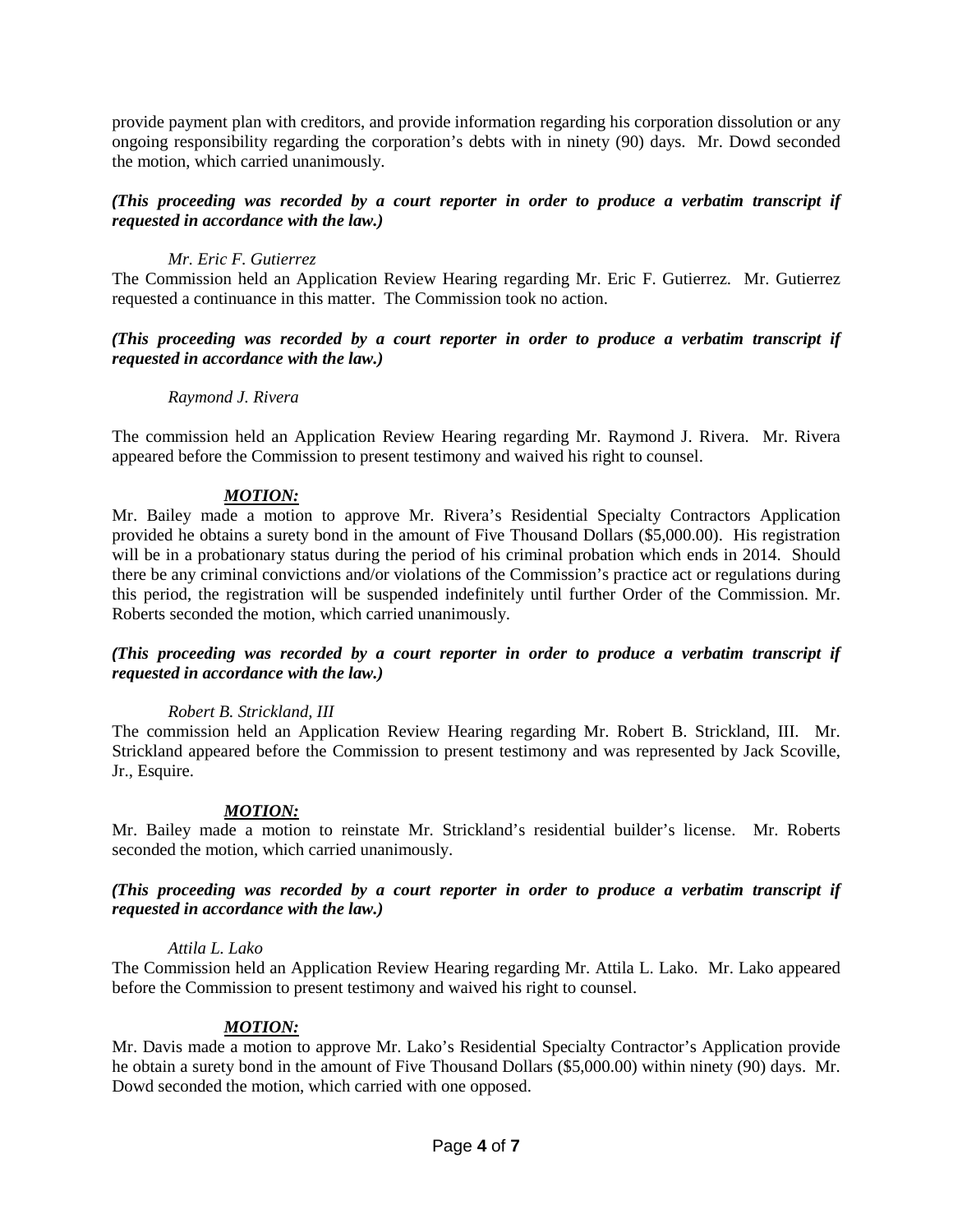provide payment plan with creditors, and provide information regarding his corporation dissolution or any ongoing responsibility regarding the corporation's debts with in ninety (90) days. Mr. Dowd seconded the motion, which carried unanimously.

## *(This proceeding was recorded by a court reporter in order to produce a verbatim transcript if requested in accordance with the law.)*

## *Mr. Eric F. Gutierrez*

The Commission held an Application Review Hearing regarding Mr. Eric F. Gutierrez. Mr. Gutierrez requested a continuance in this matter. The Commission took no action.

### *(This proceeding was recorded by a court reporter in order to produce a verbatim transcript if requested in accordance with the law.)*

### *Raymond J. Rivera*

The commission held an Application Review Hearing regarding Mr. Raymond J. Rivera. Mr. Rivera appeared before the Commission to present testimony and waived his right to counsel.

## *MOTION:*

Mr. Bailey made a motion to approve Mr. Rivera's Residential Specialty Contractors Application provided he obtains a surety bond in the amount of Five Thousand Dollars (\$5,000.00). His registration will be in a probationary status during the period of his criminal probation which ends in 2014. Should there be any criminal convictions and/or violations of the Commission's practice act or regulations during this period, the registration will be suspended indefinitely until further Order of the Commission. Mr. Roberts seconded the motion, which carried unanimously.

#### *(This proceeding was recorded by a court reporter in order to produce a verbatim transcript if requested in accordance with the law.)*

#### *Robert B. Strickland, III*

The commission held an Application Review Hearing regarding Mr. Robert B. Strickland, III. Mr. Strickland appeared before the Commission to present testimony and was represented by Jack Scoville, Jr., Esquire.

#### *MOTION:*

Mr. Bailey made a motion to reinstate Mr. Strickland's residential builder's license. Mr. Roberts seconded the motion, which carried unanimously.

### *(This proceeding was recorded by a court reporter in order to produce a verbatim transcript if requested in accordance with the law.)*

#### *Attila L. Lako*

The Commission held an Application Review Hearing regarding Mr. Attila L. Lako. Mr. Lako appeared before the Commission to present testimony and waived his right to counsel.

## *MOTION:*

Mr. Davis made a motion to approve Mr. Lako's Residential Specialty Contractor's Application provide he obtain a surety bond in the amount of Five Thousand Dollars (\$5,000.00) within ninety (90) days. Mr. Dowd seconded the motion, which carried with one opposed.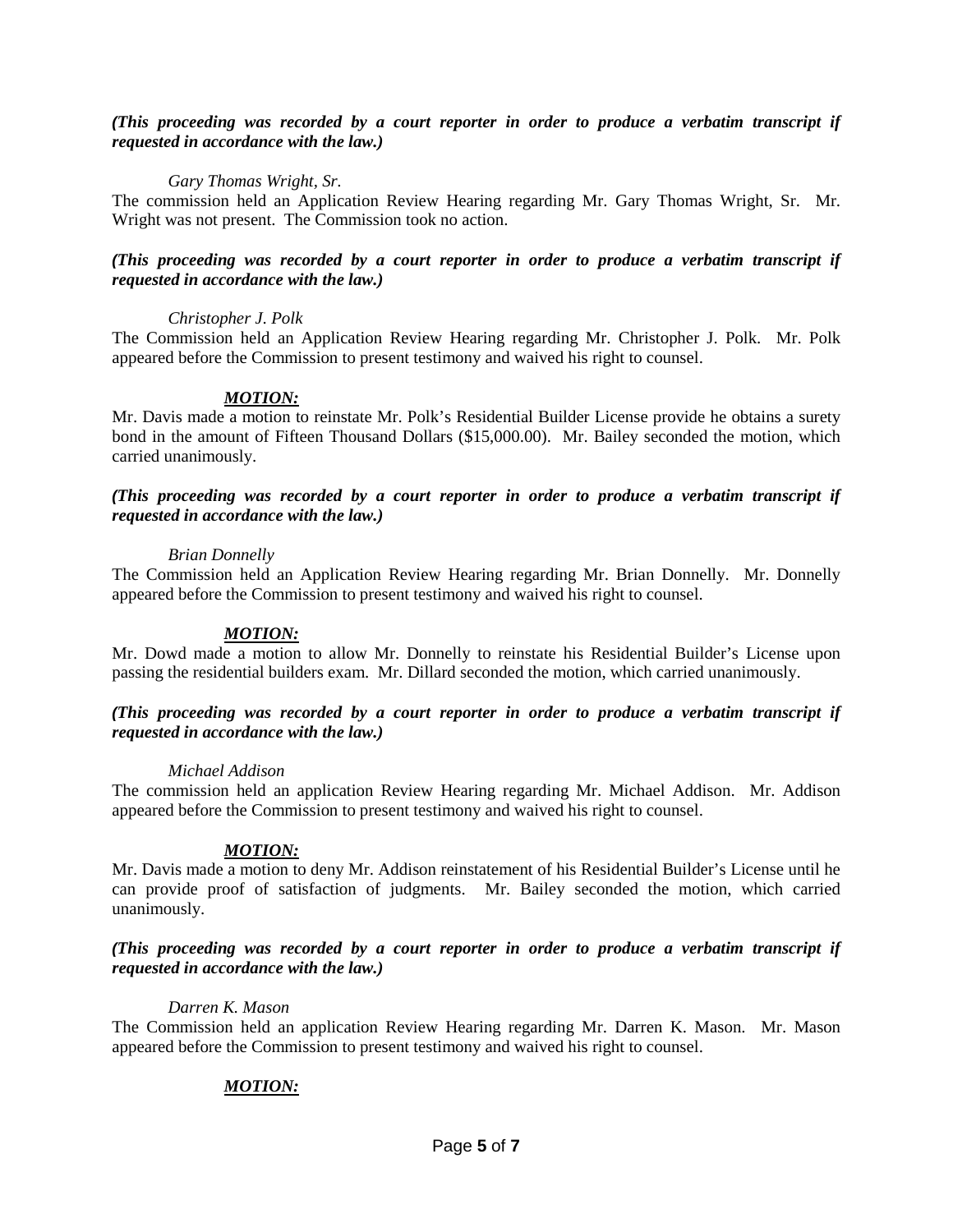#### *(This proceeding was recorded by a court reporter in order to produce a verbatim transcript if requested in accordance with the law.)*

### *Gary Thomas Wright, Sr.*

The commission held an Application Review Hearing regarding Mr. Gary Thomas Wright, Sr. Mr. Wright was not present. The Commission took no action.

### *(This proceeding was recorded by a court reporter in order to produce a verbatim transcript if requested in accordance with the law.)*

#### *Christopher J. Polk*

The Commission held an Application Review Hearing regarding Mr. Christopher J. Polk. Mr. Polk appeared before the Commission to present testimony and waived his right to counsel.

### *MOTION:*

Mr. Davis made a motion to reinstate Mr. Polk's Residential Builder License provide he obtains a surety bond in the amount of Fifteen Thousand Dollars (\$15,000.00). Mr. Bailey seconded the motion, which carried unanimously.

#### *(This proceeding was recorded by a court reporter in order to produce a verbatim transcript if requested in accordance with the law.)*

#### *Brian Donnelly*

The Commission held an Application Review Hearing regarding Mr. Brian Donnelly. Mr. Donnelly appeared before the Commission to present testimony and waived his right to counsel.

#### *MOTION:*

Mr. Dowd made a motion to allow Mr. Donnelly to reinstate his Residential Builder's License upon passing the residential builders exam. Mr. Dillard seconded the motion, which carried unanimously.

#### *(This proceeding was recorded by a court reporter in order to produce a verbatim transcript if requested in accordance with the law.)*

#### *Michael Addison*

The commission held an application Review Hearing regarding Mr. Michael Addison. Mr. Addison appeared before the Commission to present testimony and waived his right to counsel.

#### *MOTION:*

Mr. Davis made a motion to deny Mr. Addison reinstatement of his Residential Builder's License until he can provide proof of satisfaction of judgments. Mr. Bailey seconded the motion, which carried unanimously.

### *(This proceeding was recorded by a court reporter in order to produce a verbatim transcript if requested in accordance with the law.)*

#### *Darren K. Mason*

The Commission held an application Review Hearing regarding Mr. Darren K. Mason. Mr. Mason appeared before the Commission to present testimony and waived his right to counsel.

## *MOTION:*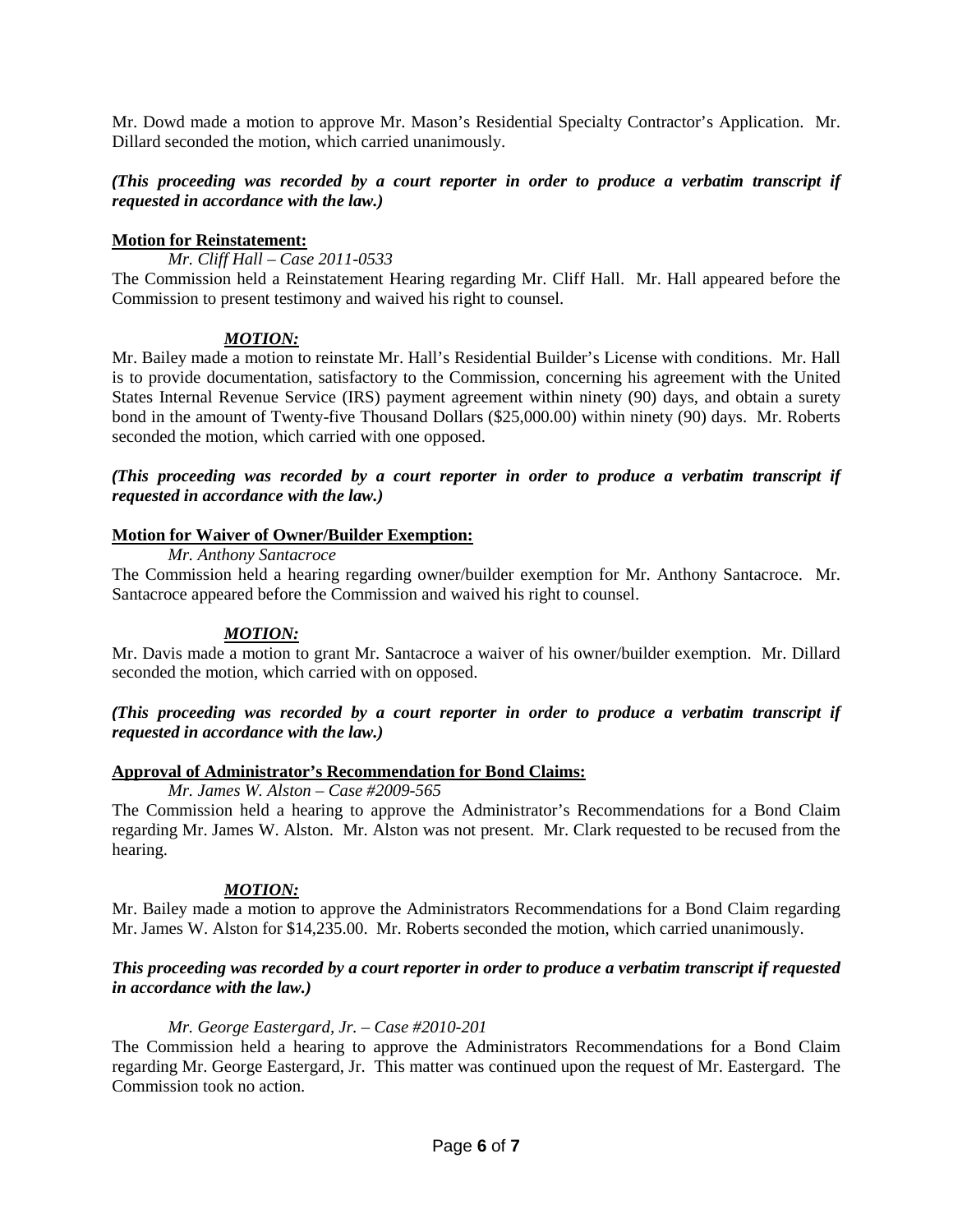Mr. Dowd made a motion to approve Mr. Mason's Residential Specialty Contractor's Application. Mr. Dillard seconded the motion, which carried unanimously.

## *(This proceeding was recorded by a court reporter in order to produce a verbatim transcript if requested in accordance with the law.)*

### **Motion for Reinstatement:**

*Mr. Cliff Hall – Case 2011-0533*

The Commission held a Reinstatement Hearing regarding Mr. Cliff Hall. Mr. Hall appeared before the Commission to present testimony and waived his right to counsel.

## *MOTION:*

Mr. Bailey made a motion to reinstate Mr. Hall's Residential Builder's License with conditions. Mr. Hall is to provide documentation, satisfactory to the Commission, concerning his agreement with the United States Internal Revenue Service (IRS) payment agreement within ninety (90) days, and obtain a surety bond in the amount of Twenty-five Thousand Dollars (\$25,000.00) within ninety (90) days. Mr. Roberts seconded the motion, which carried with one opposed.

## *(This proceeding was recorded by a court reporter in order to produce a verbatim transcript if requested in accordance with the law.)*

## **Motion for Waiver of Owner/Builder Exemption:**

*Mr. Anthony Santacroce*

The Commission held a hearing regarding owner/builder exemption for Mr. Anthony Santacroce. Mr. Santacroce appeared before the Commission and waived his right to counsel.

## *MOTION:*

Mr. Davis made a motion to grant Mr. Santacroce a waiver of his owner/builder exemption. Mr. Dillard seconded the motion, which carried with on opposed.

### *(This proceeding was recorded by a court reporter in order to produce a verbatim transcript if requested in accordance with the law.)*

## **Approval of Administrator's Recommendation for Bond Claims:**

*Mr. James W. Alston – Case #2009-565*

The Commission held a hearing to approve the Administrator's Recommendations for a Bond Claim regarding Mr. James W. Alston. Mr. Alston was not present. Mr. Clark requested to be recused from the hearing.

## *MOTION:*

Mr. Bailey made a motion to approve the Administrators Recommendations for a Bond Claim regarding Mr. James W. Alston for \$14,235.00. Mr. Roberts seconded the motion, which carried unanimously.

### *This proceeding was recorded by a court reporter in order to produce a verbatim transcript if requested in accordance with the law.)*

#### *Mr. George Eastergard, Jr. – Case #2010-201*

The Commission held a hearing to approve the Administrators Recommendations for a Bond Claim regarding Mr. George Eastergard, Jr. This matter was continued upon the request of Mr. Eastergard. The Commission took no action.